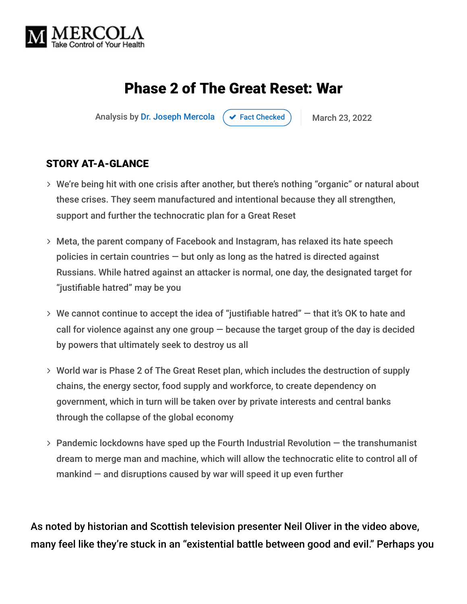

# Phase 2 of The Great Reset: War

Analysis by [Dr. Joseph Mercola](https://www.mercola.com/forms/background.htm)  $\rightarrow$  [Fact Checked](javascript:void(0)) March 23, 2022

#### STORY AT-A-GLANCE

- We're being hit with one crisis after another, but there's nothing "organic" or natural about these crises. They seem manufactured and intentional because they all strengthen, support and further the technocratic plan for a Great Reset
- Meta, the parent company of Facebook and Instagram, has relaxed its hate speech policies in certain countries  $-$  but only as long as the hatred is directed against Russians. While hatred against an attacker is normal, one day, the designated target for "justifiable hatred" may be you
- $>$  We cannot continue to accept the idea of "justifiable hatred"  $-$  that it's OK to hate and call for violence against any one group  $-$  because the target group of the day is decided by powers that ultimately seek to destroy us all
- World war is Phase 2 of The Great Reset plan, which includes the destruction of supply chains, the energy sector, food supply and workforce, to create dependency on government, which in turn will be taken over by private interests and central banks through the collapse of the global economy
- $>$  Pandemic lockdowns have sped up the Fourth Industrial Revolution  $-$  the transhumanist dream to merge man and machine, which will allow the technocratic elite to control all of mankind  $-$  and disruptions caused by war will speed it up even further

As noted by historian and Scottish television presenter Neil Oliver in the video above, many feel like they're stuck in an "existential battle between good and evil." Perhaps you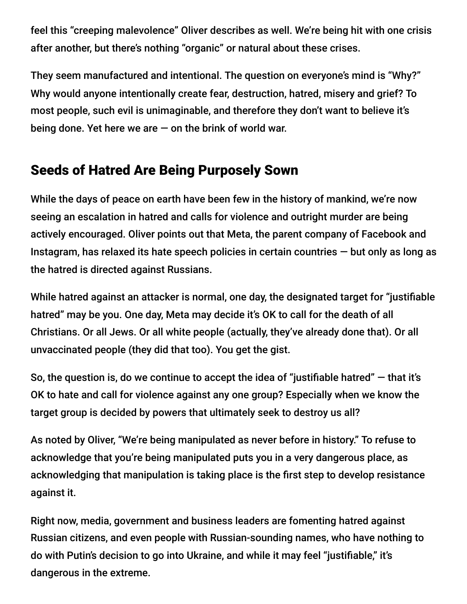feel this "creeping malevolence" Oliver describes as well. We're being hit with one crisis after another, but there's nothing "organic" or natural about these crises.

They seem manufactured and intentional. The question on everyone's mind is "Why?" Why would anyone intentionally create fear, destruction, hatred, misery and grief? To most people, such evil is unimaginable, and therefore they don't want to believe it's being done. Yet here we are  $-$  on the brink of world war.

### Seeds of Hatred Are Being Purposely Sown

While the days of peace on earth have been few in the history of mankind, we're now seeing an escalation in hatred and calls for violence and outright murder are being actively encouraged. Oliver points out that Meta, the parent company of Facebook and Instagram, has relaxed its hate speech policies in certain countries — but only as long as the hatred is directed against Russians.

While hatred against an attacker is normal, one day, the designated target for "justifiable hatred" may be you. One day, Meta may decide it's OK to call for the death of all Christians. Or all Jews. Or all white people (actually, they've already done that). Or all unvaccinated people (they did that too). You get the gist.

So, the question is, do we continue to accept the idea of "justifiable hatred"  $-$  that it's OK to hate and call for violence against any one group? Especially when we know the target group is decided by powers that ultimately seek to destroy us all?

As noted by Oliver, "We're being manipulated as never before in history." To refuse to acknowledge that you're being manipulated puts you in a very dangerous place, as acknowledging that manipulation is taking place is the first step to develop resistance against it.

Right now, media, government and business leaders are fomenting hatred against Russian citizens, and even people with Russian-sounding names, who have nothing to do with Putin's decision to go into Ukraine, and while it may feel "justifiable," it's dangerous in the extreme.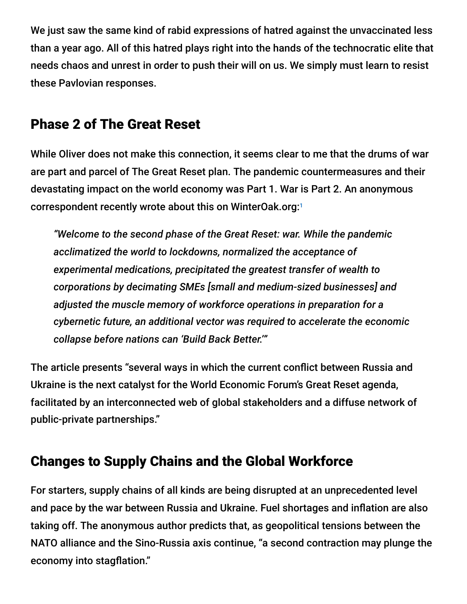We just saw the same kind of rabid expressions of hatred against the unvaccinated less than a year ago. All of this hatred plays right into the hands of the technocratic elite that needs chaos and unrest in order to push their will on us. We simply must learn to resist these Pavlovian responses.

## Phase 2 of The Great Reset

While Oliver does not make this connection, it seems clear to me that the drums of war are part and parcel of The Great Reset plan. The pandemic countermeasures and their devastating impact on the world economy was Part 1. War is Part 2. An anonymous correspondent recently wrote about this on WinterOak.org: 1

*"Welcome to the second phase of the Great Reset: war. While the pandemic acclimatized the world to lockdowns, normalized the acceptance of experimental medications, precipitated the greatest transfer of wealth to corporations by decimating SMEs [small and medium-sized businesses] and adjusted the muscle memory of workforce operations in preparation for a cybernetic future, an additional vector was required to accelerate the economic collapse before nations can 'Build Back Better.'"*

The article presents "several ways in which the current conflict between Russia and Ukraine is the next catalyst for the World Economic Forum's Great Reset agenda, facilitated by an interconnected web of global stakeholders and a diffuse network of public-private partnerships."

# Changes to Supply Chains and the Global Workforce

For starters, supply chains of all kinds are being disrupted at an unprecedented level and pace by the war between Russia and Ukraine. Fuel shortages and inflation are also taking off. The anonymous author predicts that, as geopolitical tensions between the NATO alliance and the Sino-Russia axis continue, "a second contraction may plunge the economy into stagflation."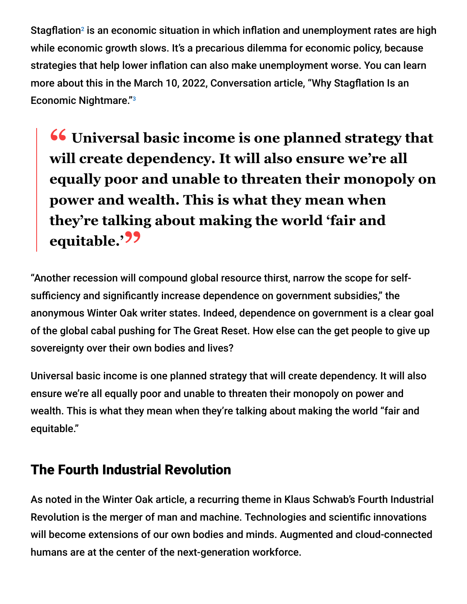Stagflation<sup>2</sup> is an economic situation in which inflation and unemployment rates are high while economic growth slows. It's a precarious dilemma for economic policy, because strategies that help lower inflation can also make unemployment worse. You can learn more about this in the March 10, 2022, Conversation article, "Why Stagflation Is an Economic Nightmare."<sup>3</sup>

**<sup>66</sup>** Universal basic income is one planned strategy that<br>will create dependency It will also ensure we're all **will create dependency. It will also ensure we're all equally poor and unable to threaten their monopoly on power and wealth. This is what they mean when they're talking about making the world 'fair and equitable.'"**

"Another recession will compound global resource thirst, narrow the scope for selfsufficiency and significantly increase dependence on government subsidies," the anonymous Winter Oak writer states. Indeed, dependence on government is a clear goal of the global cabal pushing for The Great Reset. How else can the get people to give up sovereignty over their own bodies and lives?

Universal basic income is one planned strategy that will create dependency. It will also ensure we're all equally poor and unable to threaten their monopoly on power and wealth. This is what they mean when they're talking about making the world "fair and equitable."

## The Fourth Industrial Revolution

As noted in the Winter Oak article, a recurring theme in Klaus Schwab's Fourth Industrial Revolution is the merger of man and machine. Technologies and scientific innovations will become extensions of our own bodies and minds. Augmented and cloud-connected humans are at the center of the next-generation workforce.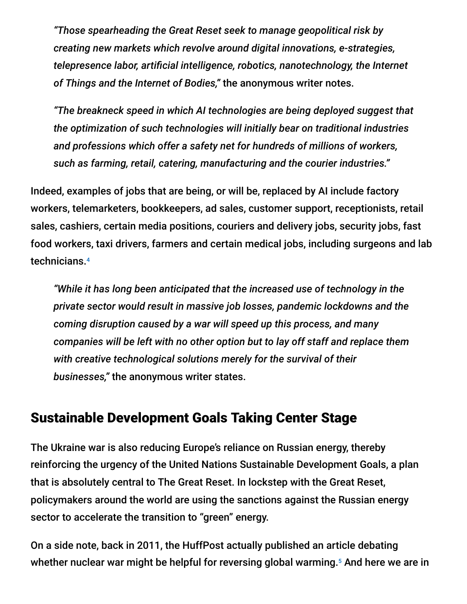*"Those spearheading the Great Reset seek to manage geopolitical risk by creating new markets which revolve around digital innovations, e-strategies, telepresence labor, artificial intelligence, robotics, nanotechnology, the Internet of Things and the Internet of Bodies,"* the anonymous writer notes.

*"The breakneck speed in which AI technologies are being deployed suggest that the optimization of such technologies will initially bear on traditional industries and professions which offer a safety net for hundreds of millions of workers, such as farming, retail, catering, manufacturing and the courier industries."*

Indeed, examples of jobs that are being, or will be, replaced by AI include factory workers, telemarketers, bookkeepers, ad sales, customer support, receptionists, retail sales, cashiers, certain media positions, couriers and delivery jobs, security jobs, fast food workers, taxi drivers, farmers and certain medical jobs, including surgeons and lab technicians. 4

*"While it has long been anticipated that the increased use of technology in the private sector would result in massive job losses, pandemic lockdowns and the coming disruption caused by a war will speed up this process, and many companies will be left with no other option but to lay off staff and replace them with creative technological solutions merely for the survival of their businesses,"* the anonymous writer states.

### Sustainable Development Goals Taking Center Stage

The Ukraine war is also reducing Europe's reliance on Russian energy, thereby reinforcing the urgency of the United Nations Sustainable Development Goals, a plan that is absolutely central to The Great Reset. In lockstep with the Great Reset, policymakers around the world are using the sanctions against the Russian energy sector to accelerate the transition to "green" energy.

On a side note, back in 2011, the HuffPost actually published an article debating whether nuclear war might be helpful for reversing global warming.<sup>5</sup> And here we are in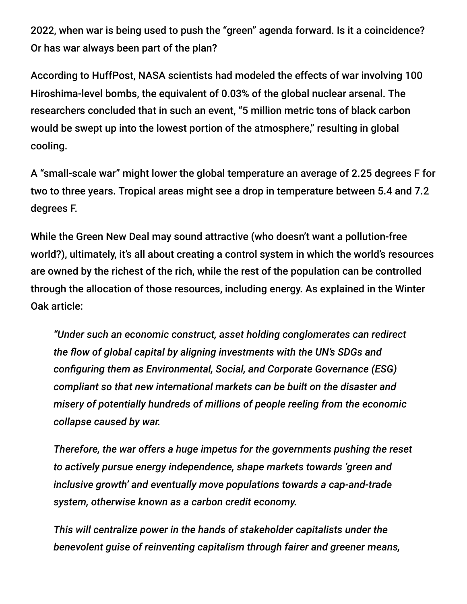2022, when war is being used to push the "green" agenda forward. Is it a coincidence? Or has war always been part of the plan?

According to HuffPost, NASA scientists had modeled the effects of war involving 100 Hiroshima-level bombs, the equivalent of 0.03% of the global nuclear arsenal. The researchers concluded that in such an event, "5 million metric tons of black carbon would be swept up into the lowest portion of the atmosphere," resulting in global cooling.

A "small-scale war" might lower the global temperature an average of 2.25 degrees F for two to three years. Tropical areas might see a drop in temperature between 5.4 and 7.2 degrees F.

While the Green New Deal may sound attractive (who doesn't want a pollution-free world?), ultimately, it's all about creating a control system in which the world's resources are owned by the richest of the rich, while the rest of the population can be controlled through the allocation of those resources, including energy. As explained in the Winter Oak article:

*"Under such an economic construct, asset holding conglomerates can redirect the flow of global capital by aligning investments with the UN's SDGs and configuring them as Environmental, Social, and Corporate Governance (ESG) compliant so that new international markets can be built on the disaster and misery of potentially hundreds of millions of people reeling from the economic collapse caused by war.*

*Therefore, the war offers a huge impetus for the governments pushing the reset to actively pursue energy independence, shape markets towards 'green and inclusive growth' and eventually move populations towards a cap-and-trade system, otherwise known as a carbon credit economy.*

*This will centralize power in the hands of stakeholder capitalists under the benevolent guise of reinventing capitalism through fairer and greener means,*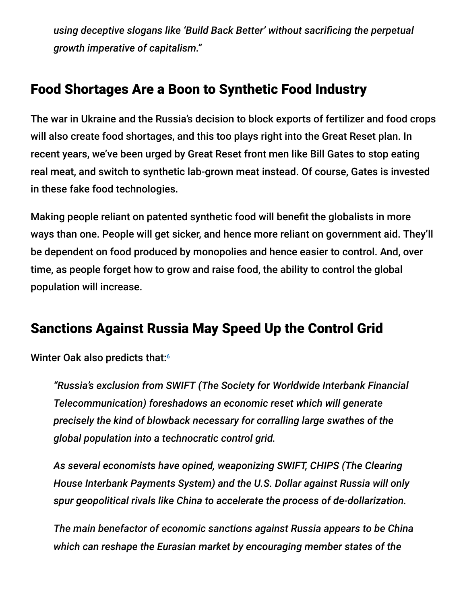*using deceptive slogans like 'Build Back Better' without sacrificing the perpetual growth imperative of capitalism."*

## Food Shortages Are a Boon to Synthetic Food Industry

The war in Ukraine and the Russia's decision to block exports of fertilizer and food crops will also create food shortages, and this too plays right into the Great Reset plan. In recent years, we've been urged by Great Reset front men like Bill Gates to stop eating real meat, and switch to synthetic lab-grown meat instead. Of course, Gates is invested in these fake food technologies.

Making people reliant on patented synthetic food will benefit the globalists in more ways than one. People will get sicker, and hence more reliant on government aid. They'll be dependent on food produced by monopolies and hence easier to control. And, over time, as people forget how to grow and raise food, the ability to control the global population will increase.

# Sanctions Against Russia May Speed Up the Control Grid

Winter Oak also predicts that: 6

*"Russia's exclusion from SWIFT (The Society for Worldwide Interbank Financial Telecommunication) foreshadows an economic reset which will generate precisely the kind of blowback necessary for corralling large swathes of the global population into a technocratic control grid.*

*As several economists have opined, weaponizing SWIFT, CHIPS (The Clearing House Interbank Payments System) and the U.S. Dollar against Russia will only spur geopolitical rivals like China to accelerate the process of de-dollarization.*

*The main benefactor of economic sanctions against Russia appears to be China which can reshape the Eurasian market by encouraging member states of the*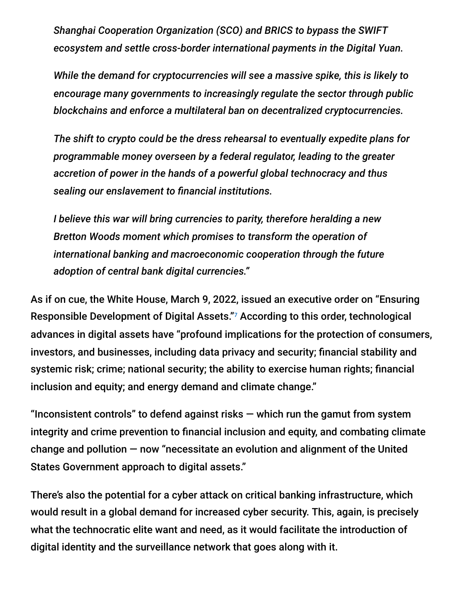*Shanghai Cooperation Organization (SCO) and BRICS to bypass the SWIFT ecosystem and settle cross-border international payments in the Digital Yuan.*

*While the demand for cryptocurrencies will see a massive spike, this is likely to encourage many governments to increasingly regulate the sector through public blockchains and enforce a multilateral ban on decentralized cryptocurrencies.*

*The shift to crypto could be the dress rehearsal to eventually expedite plans for programmable money overseen by a federal regulator, leading to the greater accretion of power in the hands of a powerful global technocracy and thus sealing our enslavement to financial institutions.*

*I believe this war will bring currencies to parity, therefore heralding a new Bretton Woods moment which promises to transform the operation of international banking and macroeconomic cooperation through the future adoption of central bank digital currencies."*

As if on cue, the White House, March 9, 2022, issued an executive order on "Ensuring Responsible Development of Digital Assets."7 According to this order, technological advances in digital assets have "profound implications for the protection of consumers, investors, and businesses, including data privacy and security; financial stability and systemic risk; crime; national security; the ability to exercise human rights; financial inclusion and equity; and energy demand and climate change."

"Inconsistent controls" to defend against risks  $-$  which run the gamut from system integrity and crime prevention to financial inclusion and equity, and combating climate change and pollution — now "necessitate an evolution and alignment of the United States Government approach to digital assets."

There's also the potential for a cyber attack on critical banking infrastructure, which would result in a global demand for increased cyber security. This, again, is precisely what the technocratic elite want and need, as it would facilitate the introduction of digital identity and the surveillance network that goes along with it.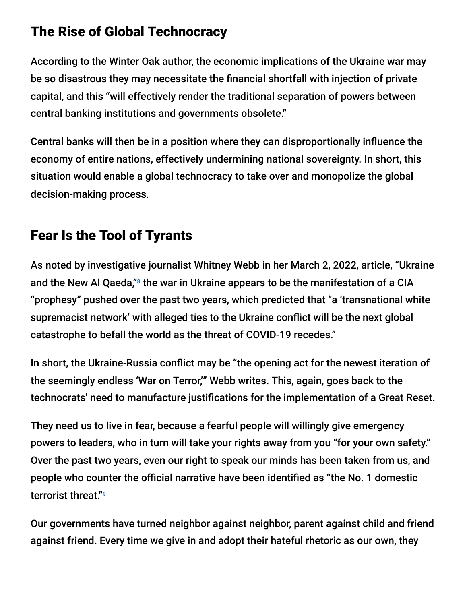# The Rise of Global Technocracy

According to the Winter Oak author, the economic implications of the Ukraine war may be so disastrous they may necessitate the financial shortfall with injection of private capital, and this "will effectively render the traditional separation of powers between central banking institutions and governments obsolete."

Central banks will then be in a position where they can disproportionally influence the economy of entire nations, effectively undermining national sovereignty. In short, this situation would enable a global technocracy to take over and monopolize the global decision-making process.

# Fear Is the Tool of Tyrants

As noted by investigative journalist Whitney Webb in her March 2, 2022, article, "Ukraine and the New Al Qaeda," $8$  the war in Ukraine appears to be the manifestation of a CIA "prophesy" pushed over the past two years, which predicted that "a 'transnational white supremacist network' with alleged ties to the Ukraine conflict will be the next global catastrophe to befall the world as the threat of COVID-19 recedes."

In short, the Ukraine-Russia conflict may be "the opening act for the newest iteration of the seemingly endless 'War on Terror,'" Webb writes. This, again, goes back to the technocrats' need to manufacture justifications for the implementation of a Great Reset.

They need us to live in fear, because a fearful people will willingly give emergency powers to leaders, who in turn will take your rights away from you "for your own safety." Over the past two years, even our right to speak our minds has been taken from us, and people who counter the official narrative have been identified as "the No. 1 domestic terrorist threat." 9

Our governments have turned neighbor against neighbor, parent against child and friend against friend. Every time we give in and adopt their hateful rhetoric as our own, they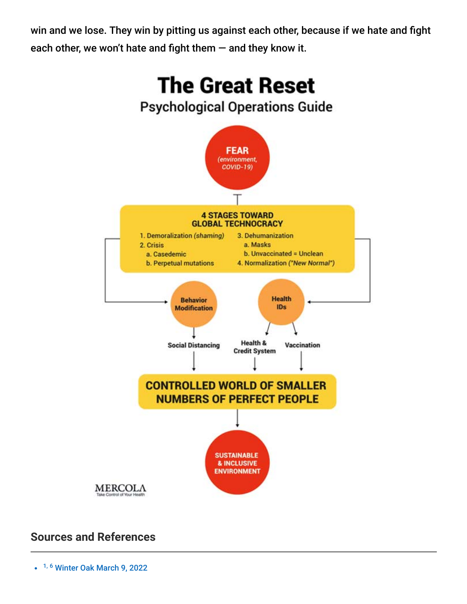win and we lose. They win by pitting us against each other, because if we hate and fight each other, we won't hate and fight them  $-$  and they know it.



### **Sources and References**

 $\cdot$   $1, 6$  [Winter Oak March 9, 2022](https://winteroak.org.uk/2022/03/09/the-great-reset-phase-2-war/)